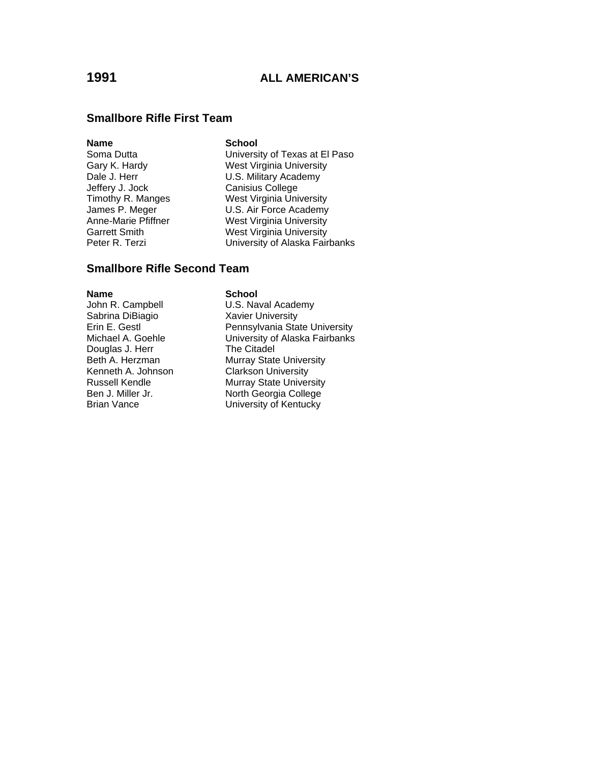### **Smallbore Rifle First Team**

### **Name** School

Jeffery J. Jock Canisius College

Soma Dutta **University of Texas at El Paso** Gary K. Hardy West Virginia University<br>
Dale J. Herr V. S. Military Academy U.S. Military Academy Timothy R. Manges West Virginia University U.S. Air Force Academy Anne-Marie Pfiffner West Virginia University Garrett Smith **West Virginia University**<br> **Peter R. Terzi** Christens University of Alaska Fair University of Alaska Fairbanks

## **Smallbore Rifle Second Team**

### **Name** School

Sabrina DiBiagio Xavier University Douglas J. Herr<br>Beth A. Herzman

John R. Campbell **U.S. Naval Academy** Erin E. Gestl<br>
Pennsylvania State University Michael A. Goehle University of Alaska Fairbanks<br>Douglas J. Herr The Citadel Beth A. Herzman Murray State University<br>Kenneth A. Johnson Clarkson University **Clarkson University** Russell Kendle Murray State University Ben J. Miller Jr. North Georgia College Brian Vance **University of Kentucky**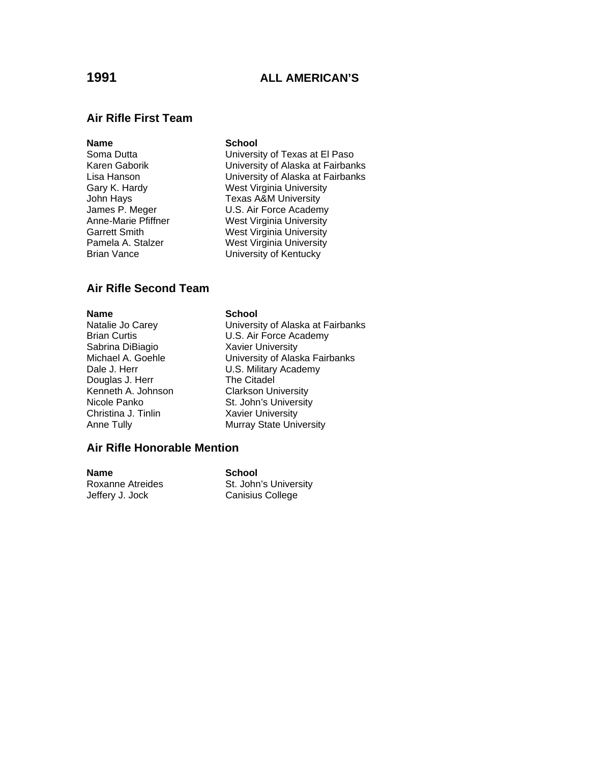### **Air Rifle First Team**

### **Name** School

Brian Vance **University of Kentucky** 

Soma Dutta **University of Texas at El Paso** Karen Gaborik University of Alaska at Fairbanks Lisa Hanson **Disk Communist University of Alaska at Fairbanks**<br>
Gary K. Hardy **Communist Communist Communist Communist** West Virginia University West Virginia University John Hays<br>James P. Meger Texas A&M University<br>U.S. Air Force Academ **U.S. Air Force Academy** Anne-Marie Pfiffner West Virginia University Garrett Smith **Garrett Smith West Virginia University**<br>19 Nest Virginia University West Virginia University

### **Air Rifle Second Team**

**Name**<br>
Natalie Jo Carey<br>
Natalie Jo Carey<br> **School** Sabrina DiBiagio Xavier University Douglas J. Herr The Citadel<br>Kenneth A. Johnson Clarkson University Kenneth A. Johnson<br>Nicole Panko Christina J. Tinlin Xavier University

University of Alaska at Fairbanks Brian Curtis U.S. Air Force Academy Michael A. Goehle **University of Alaska Fairbanks** Dale J. Herr **U.S. Military Academy** St. John's University Anne Tully **Murray State University** 

### **Air Rifle Honorable Mention**

**Name** School Jeffery J. Jock Canisius College

Roxanne Atreides St. John's University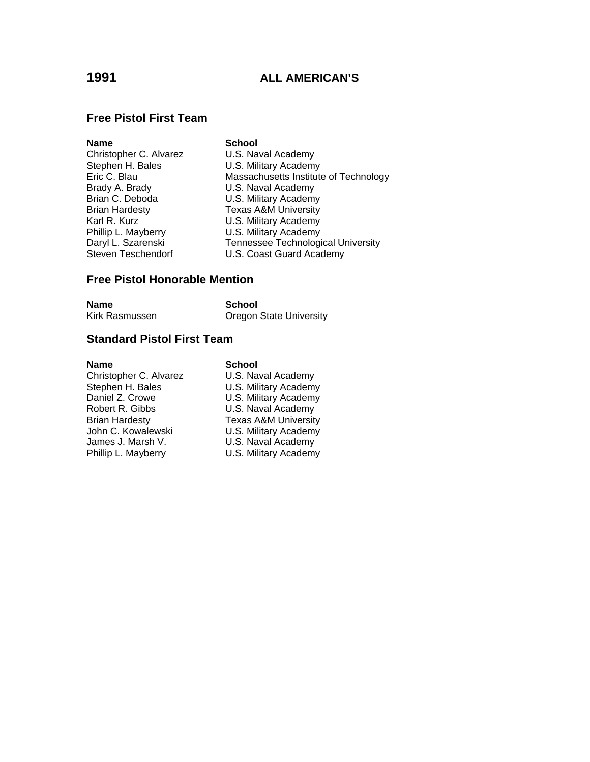### **Free Pistol First Team**

| Name                   | <b>School</b>                             |
|------------------------|-------------------------------------------|
| Christopher C. Alvarez | U.S. Naval Academy                        |
| Stephen H. Bales       | U.S. Military Academy                     |
| Eric C. Blau           | Massachusetts Institute of Technology     |
| Brady A. Brady         | U.S. Naval Academy                        |
| Brian C. Deboda        | U.S. Military Academy                     |
| <b>Brian Hardesty</b>  | <b>Texas A&amp;M University</b>           |
| Karl R. Kurz           | U.S. Military Academy                     |
| Phillip L. Mayberry    | U.S. Military Academy                     |
| Daryl L. Szarenski     | <b>Tennessee Technological University</b> |
| Steven Teschendorf     | U.S. Coast Guard Academy                  |
|                        |                                           |

### **Free Pistol Honorable Mention**

| Name           | School                         |
|----------------|--------------------------------|
| Kirk Rasmussen | <b>Oregon State University</b> |

### **Standard Pistol First Team**

**Name School**<br>Christopher C. Alvarez **U.S. Nav** Stephen H. Bales<br>
Daniel Z. Crowe<br>
U.S. Military Academy Daniel Z. Crowe U.S. Military Academy<br>
Robert R. Gibbs U.S. Naval Academy Brian Hardesty<br>
John C. Kowalewski<br>
U.S. Military Academy John C. Kowalewski **U.S. Military Academy**<br>James J. Marsh V. **U.S. Naval Academy** 

U.S. Naval Academy U.S. Naval Academy U.S. Naval Academy Phillip L. Mayberry **U.S. Military Academy**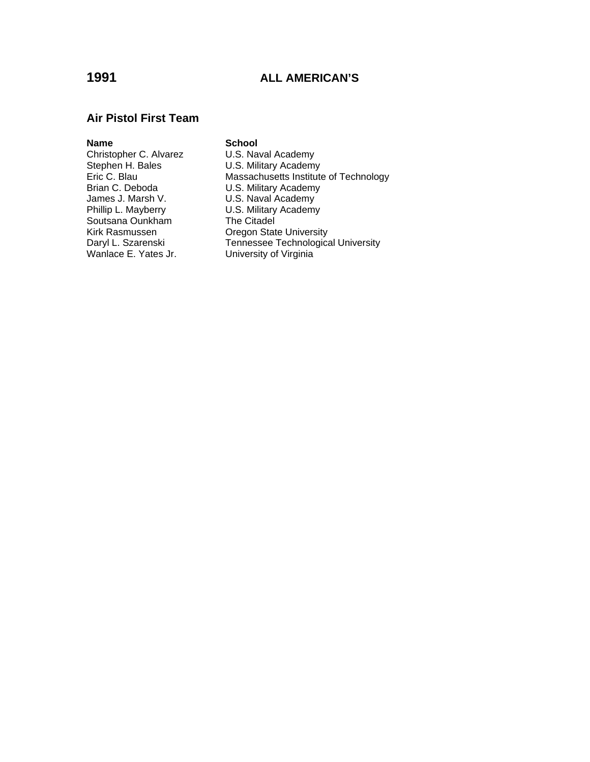### **Air Pistol First Team**

Christopher C. Alvarez<br>Stephen H. Bales Stephen H. Bales U.S. Military Academy<br>Eric C. Blau Massachusetts Institute Brian C. Deboda U.S. Military Academy<br>James J. Marsh V. U.S. Naval Academy James J. Marsh V.<br>
Phillip L. Mayberry **U.S. Military Academy** Soutsana Ounkham The Citadel

**Name**<br> **Christopher C. Alvarez U.S. Naval Academy** Eric C. Blau Massachusetts Institute of Technology<br>Brian C. Deboda U.S. Military Academy U.S. Military Academy Kirk Rasmussen **Oregon State University**<br>
Daryl L. Szarenski **Marthary Tennessee Technologica** Daryl L. Szarenski<br>
Wanlace E. Yates Jr. University of Virginia University of Virginia